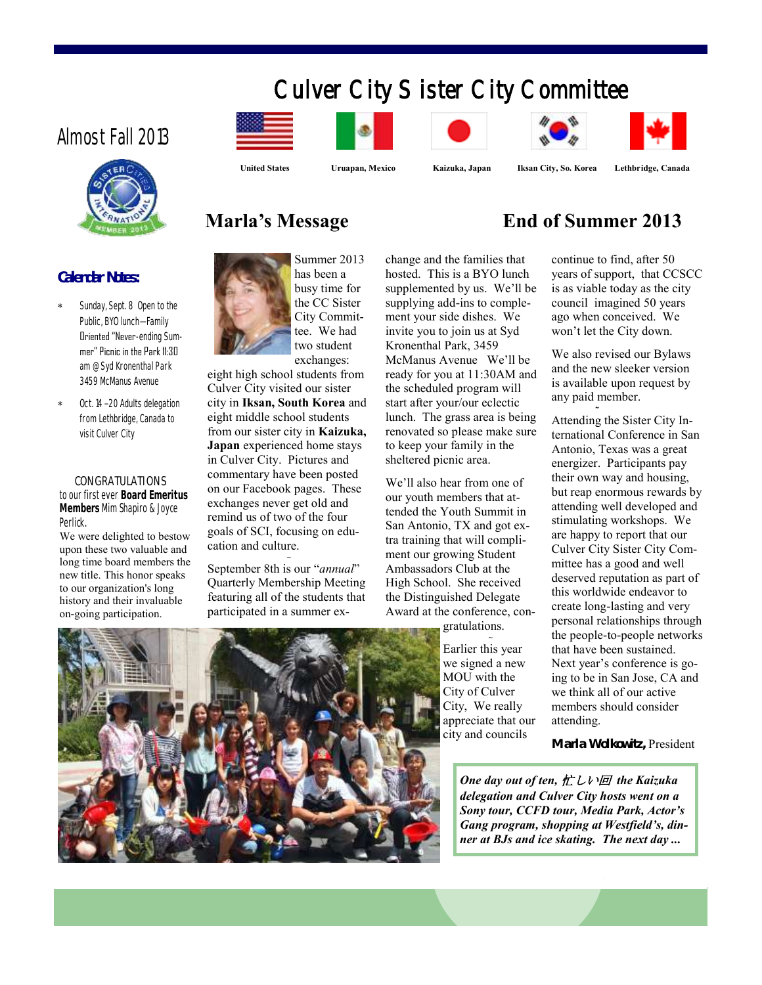# Culver City Sister City Committee

**Marla's Message End of Summer 2013**

### Almost Fall 2013



#### **Calendar Notes:**

- Sunday, Sept. 8 Open to the Public, BYO lunch—Family Oriented "Never-ending Summer" Picnic in the Park 11:30 am @ Syd Kronenthal Park 3459 McManus Avenue
- Oct. 14 –20 Adults delegation from Lethbridge, Canada to visit Culver City

 **CONGRATULATIONS** to our first ever **Board Emeritus Members** Mim Shapiro & Joyce Perlick.

We were delighted to bestow upon these two valuable and long time board members the new title. This honor speaks to our organization's long history and their invaluable on-going participation.



Summer 2013 has been a busy time for the CC Sister City Committee. We had two student exchanges:

eight high school students from Culver City visited our sister city in **Iksan, South Korea** and eight middle school students from our sister city in **Kaizuka, Japan** experienced home stays in Culver City. Pictures and commentary have been posted on our Facebook pages. These exchanges never get old and remind us of two of the four goals of SCI, focusing on education and culture.

**~** September 8th is our "*annual*" Quarterly Membership Meeting featuring all of the students that participated in a summer exchange and the families that hosted. This is a BYO lunch supplemented by us. We'll be supplying add-ins to complement your side dishes. We invite you to join us at Syd Kronenthal Park, 3459 McManus Avenue We'll be ready for you at 11:30AM and the scheduled program will start after your/our eclectic lunch. The grass area is being renovated so please make sure to keep your family in the sheltered picnic area.

We'll also hear from one of our youth members that attended the Youth Summit in San Antonio, TX and got extra training that will compliment our growing Student Ambassadors Club at the High School. She received the Distinguished Delegate Award at the conference, con-

gratulations.

**~** Earlier this year we signed a new MOU with the City of Culver City, We really appreciate that our city and councils

continue to find, after 50 years of support, that CCSCC

is as viable today as the city council imagined 50 years ago when conceived. We won't let the City down.

We also revised our Bylaws and the new sleeker version is available upon request by any paid member.

**~**

Attending the Sister City International Conference in San Antonio, Texas was a great energizer. Participants pay their own way and housing, but reap enormous rewards by attending well developed and stimulating workshops. We are happy to report that our Culver City Sister City Committee has a good and well deserved reputation as part of this worldwide endeavor to create long-lasting and very personal relationships through the people-to-people networks that have been sustained. Next year's conference is going to be in San Jose, CA and we think all of our active members should consider attending.

**Marla Wolkowitz,** President

*One day out of ten,* 忙しい回 *the Kaizuka delegation and Culver City hosts went on a Sony tour, CCFD tour, Media Park, Actor's Gang program, shopping at Westfield's, dinner at BJs and ice skating. The next day ...*



 **United States Uruapan, Mexico Kaizuka, Japan Iksan City, So. Korea Lethbridge, Canada**